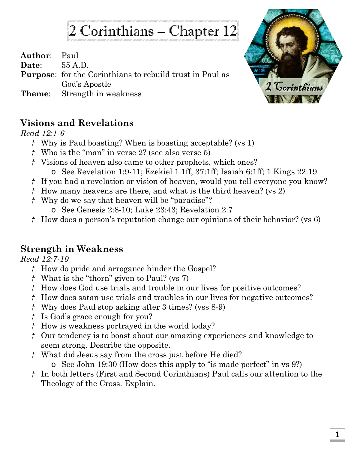# 2 Corinthians – Chapter 12

**Author**: Paul

**Date**: 55 A.D.

**Purpose**: for the Corinthians to rebuild trust in Paul as God's Apostle

**Theme**: Strength in weakness



# **Visions and Revelations**

### *Read 12:1-6*

- *†* Why is Paul boasting? When is boasting acceptable? (vs 1)
- *†* Who is the "man" in verse 2? (see also verse 5)
- *†* Visions of heaven also came to other prophets, which ones? o See Revelation 1:9-11; Ezekiel 1:1ff, 37:1ff; Isaiah 6:1ff; 1 Kings 22:19
- *†* If you had a revelation or vision of heaven, would you tell everyone you know?
- *†* How many heavens are there, and what is the third heaven? (vs 2)
- *†* Why do we say that heaven will be "paradise"?
	- o See Genesis 2:8-10; Luke 23:43; Revelation 2:7
- *†* How does a person's reputation change our opinions of their behavior? (vs 6)

# **Strength in Weakness**

### *Read 12:7-10*

- *†* How do pride and arrogance hinder the Gospel?
- *†* What is the "thorn" given to Paul? (vs 7)
- *†* How does God use trials and trouble in our lives for positive outcomes?
- *†* How does satan use trials and troubles in our lives for negative outcomes?
- *†* Why does Paul stop asking after 3 times? (vss 8-9)
- *†* Is God's grace enough for you?
- *†* How is weakness portrayed in the world today?
- *†* Our tendency is to boast about our amazing experiences and knowledge to seem strong. Describe the opposite.
- *†* What did Jesus say from the cross just before He died?
	- o See John 19:30 (How does this apply to "is made perfect" in vs 9?)
- *†* In both letters (First and Second Corinthians) Paul calls our attention to the Theology of the Cross. Explain.